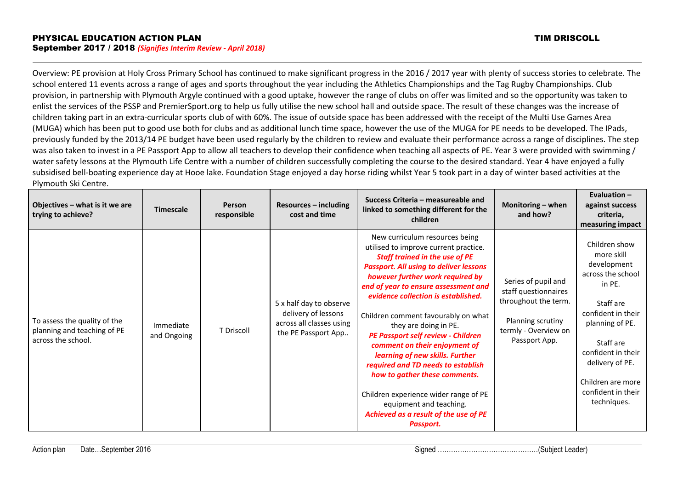Overview: PE provision at Holy Cross Primary School has continued to make significant progress in the 2016 / 2017 year with plenty of success stories to celebrate. The school entered 11 events across a range of ages and sports throughout the year including the Athletics Championships and the Tag Rugby Championships. Club provision, in partnership with Plymouth Argyle continued with a good uptake, however the range of clubs on offer was limited and so the opportunity was taken to enlist the services of the PSSP and PremierSport.org to help us fully utilise the new school hall and outside space. The result of these changes was the increase of children taking part in an extra-curricular sports club of with 60%. The issue of outside space has been addressed with the receipt of the Multi Use Games Area (MUGA) which has been put to good use both for clubs and as additional lunch time space, however the use of the MUGA for PE needs to be developed. The IPads, previously funded by the 2013/14 PE budget have been used regularly by the children to review and evaluate their performance across a range of disciplines. The step was also taken to invest in a PE Passport App to allow all teachers to develop their confidence when teaching all aspects of PE. Year 3 were provided with swimming / water safety lessons at the Plymouth Life Centre with a number of children successfully completing the course to the desired standard. Year 4 have enjoyed a fully subsidised bell-boating experience day at Hooe lake. Foundation Stage enjoyed a day horse riding whilst Year 5 took part in a day of winter based activities at the Plymouth Ski Centre.

| Objectives – what is it we are<br>trying to achieve?                              | <b>Timescale</b>         | Person<br>responsible | $Resources - including$<br>cost and time                                                          | Success Criteria - measureable and<br>linked to something different for the<br>children                                                                                                                                                                                                                                                                                                                                                                                                                                                                                                                                                                         | Monitoring - when<br>and how?                                                                                                     | Evaluation $-$<br>against success<br>criteria,<br>measuring impact                                                                                                                                                                              |
|-----------------------------------------------------------------------------------|--------------------------|-----------------------|---------------------------------------------------------------------------------------------------|-----------------------------------------------------------------------------------------------------------------------------------------------------------------------------------------------------------------------------------------------------------------------------------------------------------------------------------------------------------------------------------------------------------------------------------------------------------------------------------------------------------------------------------------------------------------------------------------------------------------------------------------------------------------|-----------------------------------------------------------------------------------------------------------------------------------|-------------------------------------------------------------------------------------------------------------------------------------------------------------------------------------------------------------------------------------------------|
| To assess the quality of the<br>planning and teaching of PE<br>across the school. | Immediate<br>and Ongoing | T Driscoll            | 5 x half day to observe<br>delivery of lessons<br>across all classes using<br>the PE Passport App | New curriculum resources being<br>utilised to improve current practice.<br><b>Staff trained in the use of PE</b><br><b>Passport. All using to deliver lessons</b><br>however further work required by<br>end of year to ensure assessment and<br>evidence collection is established.<br>Children comment favourably on what<br>they are doing in PE.<br>PE Passport self review - Children<br>comment on their enjoyment of<br>learning of new skills. Further<br>required and TD needs to establish<br>how to gather these comments.<br>Children experience wider range of PE<br>equipment and teaching.<br>Achieved as a result of the use of PE<br>Passport. | Series of pupil and<br>staff questionnaires<br>throughout the term.<br>Planning scrutiny<br>termly - Overview on<br>Passport App. | Children show<br>more skill<br>development<br>across the school<br>in PE.<br>Staff are<br>confident in their<br>planning of PE.<br>Staff are<br>confident in their<br>delivery of PE.<br>Children are more<br>confident in their<br>techniques. |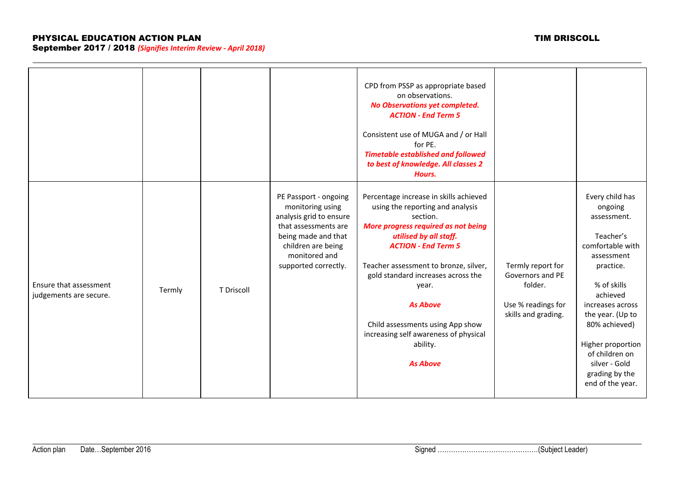|                                                  |        |            |                                                                                                                                                                                    | CPD from PSSP as appropriate based<br>on observations.<br>No Observations yet completed.<br><b>ACTION - End Term 5</b><br>Consistent use of MUGA and / or Hall<br>for PE.<br><b>Timetable established and followed</b><br>to best of knowledge. All classes 2<br>Hours.                                                                                                                                      |                                                                                               |                                                                                                                                                                                                                                                                                         |
|--------------------------------------------------|--------|------------|------------------------------------------------------------------------------------------------------------------------------------------------------------------------------------|--------------------------------------------------------------------------------------------------------------------------------------------------------------------------------------------------------------------------------------------------------------------------------------------------------------------------------------------------------------------------------------------------------------|-----------------------------------------------------------------------------------------------|-----------------------------------------------------------------------------------------------------------------------------------------------------------------------------------------------------------------------------------------------------------------------------------------|
| Ensure that assessment<br>judgements are secure. | Termly | T Driscoll | PE Passport - ongoing<br>monitoring using<br>analysis grid to ensure<br>that assessments are<br>being made and that<br>children are being<br>monitored and<br>supported correctly. | Percentage increase in skills achieved<br>using the reporting and analysis<br>section.<br>More progress required as not being<br>utilised by all staff.<br><b>ACTION - End Term 5</b><br>Teacher assessment to bronze, silver,<br>gold standard increases across the<br>year.<br><b>As Above</b><br>Child assessments using App show<br>increasing self awareness of physical<br>ability.<br><b>As Above</b> | Termly report for<br>Governors and PE<br>folder.<br>Use % readings for<br>skills and grading. | Every child has<br>ongoing<br>assessment.<br>Teacher's<br>comfortable with<br>assessment<br>practice.<br>% of skills<br>achieved<br>increases across<br>the year. (Up to<br>80% achieved)<br>Higher proportion<br>of children on<br>silver - Gold<br>grading by the<br>end of the year. |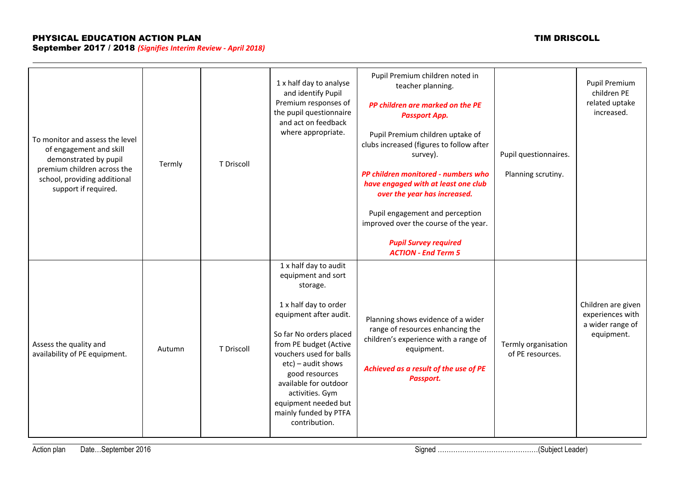| To monitor and assess the level<br>of engagement and skill<br>demonstrated by pupil<br>premium children across the<br>school, providing additional<br>support if required. | Termly | T Driscoll | 1 x half day to analyse<br>and identify Pupil<br>Premium responses of<br>the pupil questionnaire<br>and act on feedback<br>where appropriate.                                                                                                                                                                                                       | Pupil Premium children noted in<br>teacher planning.<br>PP children are marked on the PE<br><b>Passport App.</b><br>Pupil Premium children uptake of<br>clubs increased (figures to follow after<br>survey).<br>PP children monitored - numbers who<br>have engaged with at least one club<br>over the year has increased.<br>Pupil engagement and perception<br>improved over the course of the year.<br><b>Pupil Survey required</b><br><b>ACTION - End Term 5</b> | Pupil questionnaires.<br>Planning scrutiny. | Pupil Premium<br>children PE<br>related uptake<br>increased.             |
|----------------------------------------------------------------------------------------------------------------------------------------------------------------------------|--------|------------|-----------------------------------------------------------------------------------------------------------------------------------------------------------------------------------------------------------------------------------------------------------------------------------------------------------------------------------------------------|----------------------------------------------------------------------------------------------------------------------------------------------------------------------------------------------------------------------------------------------------------------------------------------------------------------------------------------------------------------------------------------------------------------------------------------------------------------------|---------------------------------------------|--------------------------------------------------------------------------|
| Assess the quality and<br>availability of PE equipment.                                                                                                                    | Autumn | T Driscoll | 1 x half day to audit<br>equipment and sort<br>storage.<br>1 x half day to order<br>equipment after audit.<br>So far No orders placed<br>from PE budget (Active<br>vouchers used for balls<br>$etc$ ) – audit shows<br>good resources<br>available for outdoor<br>activities. Gym<br>equipment needed but<br>mainly funded by PTFA<br>contribution. | Planning shows evidence of a wider<br>range of resources enhancing the<br>children's experience with a range of<br>equipment.<br>Achieved as a result of the use of PE<br>Passport.                                                                                                                                                                                                                                                                                  | Termly organisation<br>of PE resources.     | Children are given<br>experiences with<br>a wider range of<br>equipment. |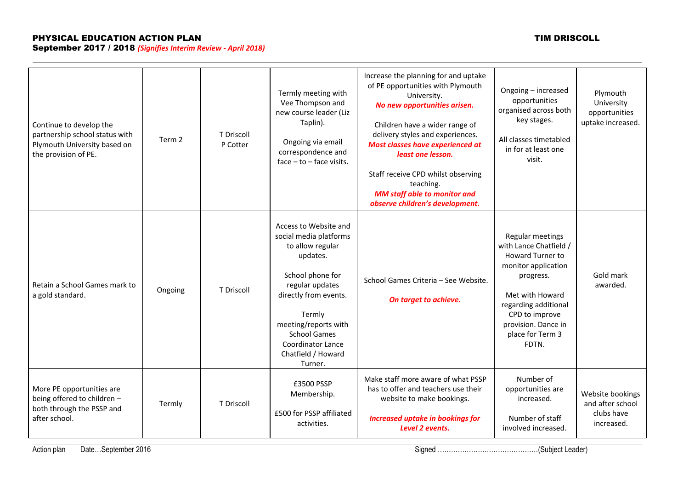# PHYSICAL EDUCATION ACTION PLAN TIM DRISCOLL

September 2017 / 2018 *(Signifies Interim Review - April 2018)*

| Continue to develop the<br>partnership school status with<br>Plymouth University based on<br>the provision of PE. | Term 2  | T Driscoll<br>P Cotter | Termly meeting with<br>Vee Thompson and<br>new course leader (Liz<br>Taplin).<br>Ongoing via email<br>correspondence and<br>$face - to - face visits.$                                                                                                                | Increase the planning for and uptake<br>of PE opportunities with Plymouth<br>University.<br>No new opportunities arisen.<br>Children have a wider range of<br>delivery styles and experiences.<br>Most classes have experienced at<br>least one lesson.<br>Staff receive CPD whilst observing<br>teaching.<br><b>MM staff able to monitor and</b><br>observe children's development. | Ongoing - increased<br>opportunities<br>organised across both<br>key stages.<br>All classes timetabled<br>in for at least one<br>visit.                                                                             | Plymouth<br>University<br>opportunities<br>uptake increased.     |
|-------------------------------------------------------------------------------------------------------------------|---------|------------------------|-----------------------------------------------------------------------------------------------------------------------------------------------------------------------------------------------------------------------------------------------------------------------|--------------------------------------------------------------------------------------------------------------------------------------------------------------------------------------------------------------------------------------------------------------------------------------------------------------------------------------------------------------------------------------|---------------------------------------------------------------------------------------------------------------------------------------------------------------------------------------------------------------------|------------------------------------------------------------------|
| Retain a School Games mark to<br>a gold standard.                                                                 | Ongoing | T Driscoll             | Access to Website and<br>social media platforms<br>to allow regular<br>updates.<br>School phone for<br>regular updates<br>directly from events.<br>Termly<br>meeting/reports with<br><b>School Games</b><br><b>Coordinator Lance</b><br>Chatfield / Howard<br>Turner. | School Games Criteria - See Website.<br>On target to achieve.                                                                                                                                                                                                                                                                                                                        | Regular meetings<br>with Lance Chatfield /<br>Howard Turner to<br>monitor application<br>progress.<br>Met with Howard<br>regarding additional<br>CPD to improve<br>provision. Dance in<br>place for Term 3<br>FDTN. | Gold mark<br>awarded.                                            |
| More PE opportunities are<br>being offered to children -<br>both through the PSSP and<br>after school.            | Termly  | T Driscoll             | £3500 PSSP<br>Membership.<br>£500 for PSSP affiliated<br>activities.                                                                                                                                                                                                  | Make staff more aware of what PSSP<br>has to offer and teachers use their<br>website to make bookings.<br><b>Increased uptake in bookings for</b><br>Level 2 events.                                                                                                                                                                                                                 | Number of<br>opportunities are<br>increased.<br>Number of staff<br>involved increased.                                                                                                                              | Website bookings<br>and after school<br>clubs have<br>increased. |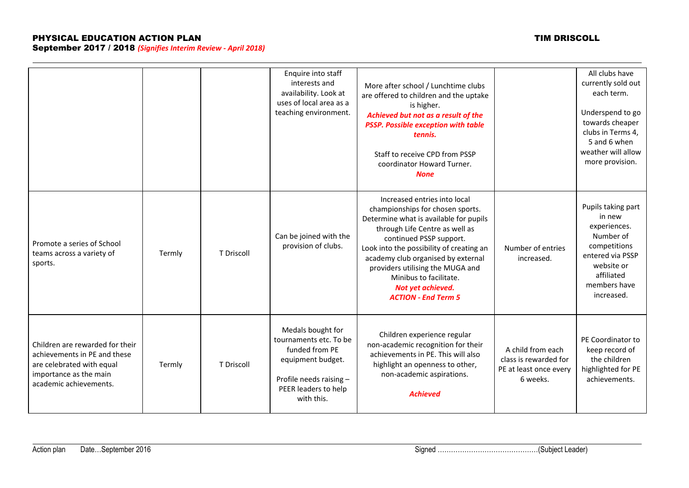|                                                                                                                                                  |        |            | Enquire into staff<br>interests and<br>availability. Look at<br>uses of local area as a<br>teaching environment.                                    | More after school / Lunchtime clubs<br>are offered to children and the uptake<br>is higher.<br>Achieved but not as a result of the<br><b>PSSP. Possible exception with table</b><br>tennis.<br>Staff to receive CPD from PSSP<br>coordinator Howard Turner.<br><b>None</b>                                                                                                 |                                                                                  | All clubs have<br>currently sold out<br>each term.<br>Underspend to go<br>towards cheaper<br>clubs in Terms 4,<br>5 and 6 when<br>weather will allow<br>more provision. |
|--------------------------------------------------------------------------------------------------------------------------------------------------|--------|------------|-----------------------------------------------------------------------------------------------------------------------------------------------------|----------------------------------------------------------------------------------------------------------------------------------------------------------------------------------------------------------------------------------------------------------------------------------------------------------------------------------------------------------------------------|----------------------------------------------------------------------------------|-------------------------------------------------------------------------------------------------------------------------------------------------------------------------|
| Promote a series of School<br>teams across a variety of<br>sports.                                                                               | Termly | T Driscoll | Can be joined with the<br>provision of clubs.                                                                                                       | Increased entries into local<br>championships for chosen sports.<br>Determine what is available for pupils<br>through Life Centre as well as<br>continued PSSP support.<br>Look into the possibility of creating an<br>academy club organised by external<br>providers utilising the MUGA and<br>Minibus to facilitate.<br>Not yet achieved.<br><b>ACTION - End Term 5</b> | Number of entries<br>increased.                                                  | Pupils taking part<br>in new<br>experiences.<br>Number of<br>competitions<br>entered via PSSP<br>website or<br>affiliated<br>members have<br>increased.                 |
| Children are rewarded for their<br>achievements in PE and these<br>are celebrated with equal<br>importance as the main<br>academic achievements. | Termly | T Driscoll | Medals bought for<br>tournaments etc. To be<br>funded from PE<br>equipment budget.<br>Profile needs raising -<br>PEER leaders to help<br>with this. | Children experience regular<br>non-academic recognition for their<br>achievements in PE. This will also<br>highlight an openness to other,<br>non-academic aspirations.<br><b>Achieved</b>                                                                                                                                                                                 | A child from each<br>class is rewarded for<br>PE at least once every<br>6 weeks. | PE Coordinator to<br>keep record of<br>the children<br>highlighted for PE<br>achievements.                                                                              |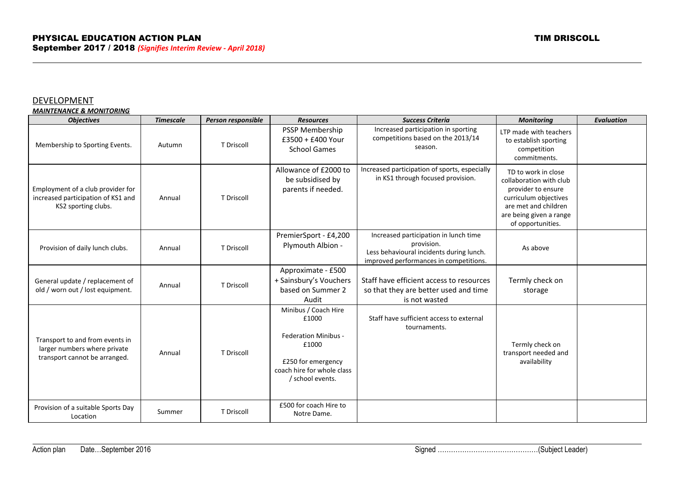## DEVELOPMENT

*MAINTENANCE & MONITORING*

| <b>Objectives</b>                                                                                | <b>Timescale</b> | Person responsible | <b>Resources</b>                                                                                                                              | <b>Success Criteria</b>                                                                                                                   | <b>Monitoring</b>                                                                                                                                                     | <b>Evaluation</b> |
|--------------------------------------------------------------------------------------------------|------------------|--------------------|-----------------------------------------------------------------------------------------------------------------------------------------------|-------------------------------------------------------------------------------------------------------------------------------------------|-----------------------------------------------------------------------------------------------------------------------------------------------------------------------|-------------------|
| Membership to Sporting Events.                                                                   | Autumn           | T Driscoll         | PSSP Membership<br>£3500 + £400 Your<br><b>School Games</b>                                                                                   | Increased participation in sporting<br>competitions based on the 2013/14<br>season.                                                       | LTP made with teachers<br>to establish sporting<br>competition<br>commitments.                                                                                        |                   |
| Employment of a club provider for<br>increased participation of KS1 and<br>KS2 sporting clubs.   | Annual           | T Driscoll         | Allowance of £2000 to<br>be subsidised by<br>parents if needed.                                                                               | Increased participation of sports, especially<br>in KS1 through focused provision.                                                        | TD to work in close<br>collaboration with club<br>provider to ensure<br>curriculum objectives<br>are met and children<br>are being given a range<br>of opportunities. |                   |
| Provision of daily lunch clubs.                                                                  | Annual           | T Driscoll         | PremierSport - £4,200<br>Plymouth Albion -                                                                                                    | Increased participation in lunch time<br>provision.<br>Less behavioural incidents during lunch.<br>improved performances in competitions. | As above                                                                                                                                                              |                   |
| General update / replacement of<br>old / worn out / lost equipment.                              | Annual           | T Driscoll         | Approximate - £500<br>+ Sainsbury's Vouchers<br>based on Summer 2<br>Audit                                                                    | Staff have efficient access to resources<br>so that they are better used and time<br>is not wasted                                        | Termly check on<br>storage                                                                                                                                            |                   |
| Transport to and from events in<br>larger numbers where private<br>transport cannot be arranged. | Annual           | T Driscoll         | Minibus / Coach Hire<br>£1000<br><b>Federation Minibus -</b><br>£1000<br>£250 for emergency<br>coach hire for whole class<br>/ school events. | Staff have sufficient access to external<br>tournaments.                                                                                  | Termly check on<br>transport needed and<br>availability                                                                                                               |                   |
| Provision of a suitable Sports Day<br>Location                                                   | Summer           | T Driscoll         | £500 for coach Hire to<br>Notre Dame.                                                                                                         |                                                                                                                                           |                                                                                                                                                                       |                   |